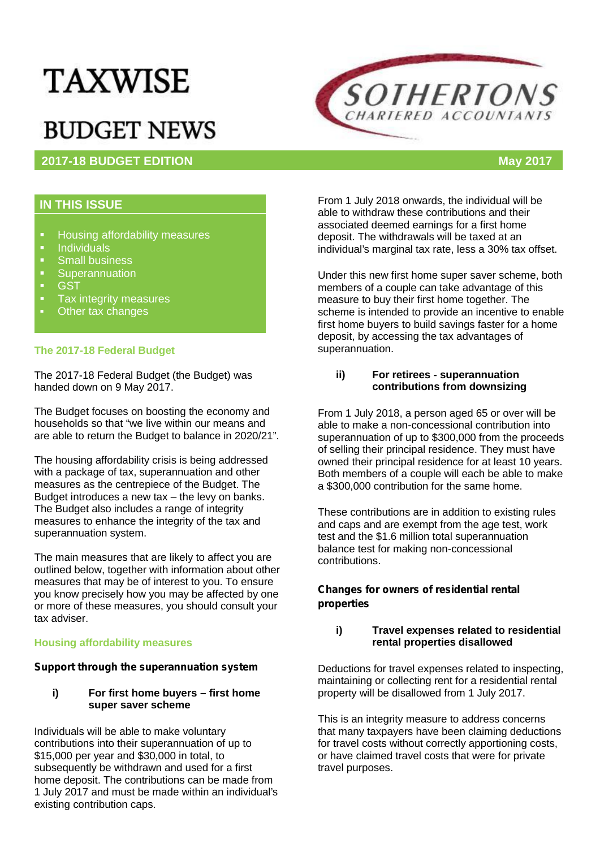# **TAXWISE**

## **BUDGET NEWS**

### **2017-18 BUDGET EDITION May 2017**



#### **IN THIS ISSUE**

- **Housing affordability measures**<br>Londividuals
- Individuals<br>• Small busin
- **Small business**<br>
Superannuation
- **Superannuation**<br> **GST**
- ST<br>Taxi
- Tax integrity measures
- Other tax changes

#### **The 2017-18 Federal Budget**

The 2017-18 Federal Budget (the Budget) was handed down on 9 May 2017.

The Budget focuses on boosting the economy and households so that "we live within our means and are able to return the Budget to balance in 2020/21".

The housing affordability crisis is being addressed with a package of tax, superannuation and other measures as the centrepiece of the Budget. The Budget introduces a new tax – the levy on banks. The Budget also includes a range of integrity measures to enhance the integrity of the tax and superannuation system.

The main measures that are likely to affect you are outlined below, together with information about other measures that may be of interest to you. To ensure you know precisely how you may be affected by one or more of these measures, you should consult your tax adviser.

#### **Housing affordability measures**

#### *Support through the superannuation system*

#### **i) For first home buyers – first home super saver scheme**

Individuals will be able to make voluntary contributions into their superannuation of up to \$15,000 per year and \$30,000 in total, to subsequently be withdrawn and used for a first home deposit. The contributions can be made from 1 July 2017 and must be made within an individual's existing contribution caps.

From 1 July 2018 onwards, the individual will be able to withdraw these contributions and their associated deemed earnings for a first home deposit. The withdrawals will be taxed at an individual's marginal tax rate, less a 30% tax offset.

Under this new first home super saver scheme, both members of a couple can take advantage of this measure to buy their first home together. The scheme is intended to provide an incentive to enable first home buyers to build savings faster for a home deposit, by accessing the tax advantages of superannuation.

#### **ii) For retirees - superannuation contributions from downsizing**

From 1 July 2018, a person aged 65 or over will be able to make a non-concessional contribution into superannuation of up to \$300,000 from the proceeds of selling their principal residence. They must have owned their principal residence for at least 10 years. Both members of a couple will each be able to make a \$300,000 contribution for the same home.

These contributions are in addition to existing rules and caps and are exempt from the age test, work test and the \$1.6 million total superannuation balance test for making non-concessional contributions.

#### *Changes for owners of residential rental properties*

#### **i) Travel expenses related to residential rental properties disallowed**

Deductions for travel expenses related to inspecting, maintaining or collecting rent for a residential rental property will be disallowed from 1 July 2017.

This is an integrity measure to address concerns that many taxpayers have been claiming deductions for travel costs without correctly apportioning costs, or have claimed travel costs that were for private travel purposes.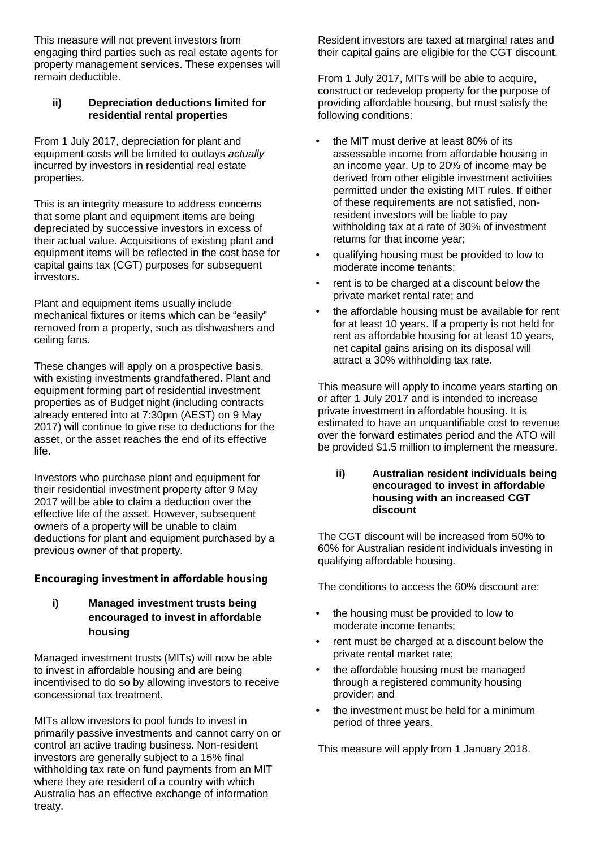This measure will not prevent investors from engaging third parties such as real estate agents for property management services. These expenses will remain deductible.

#### **ii) Depreciation deductions limited for residential rental properties**

From 1 July 2017, depreciation for plant and equipment costs will be limited to outlays *actually* incurred by investors in residential real estate properties.

This is an integrity measure to address concerns that some plant and equipment items are being depreciated by successive investors in excess of their actual value. Acquisitions of existing plant and equipment items will be reflected in the cost base for capital gains tax (CGT) purposes for subsequent investors.

Plant and equipment items usually include mechanical fixtures or items which can be "easily" removed from a property, such as dishwashers and ceiling fans.

These changes will apply on a prospective basis, with existing investments grandfathered. Plant and equipment forming part of residential investment properties as of Budget night (including contracts already entered into at 7:30pm (AEST) on 9 May 2017) will continue to give rise to deductions for the asset, or the asset reaches the end of its effective life.

Investors who purchase plant and equipment for their residential investment property after 9 May 2017 will be able to claim a deduction over the effective life of the asset. However, subsequent owners of a property will be unable to claim deductions for plant and equipment purchased by a previous owner of that property.

#### *Encouraging investment in affordable housing*

**i) Managed investment trusts being encouraged to invest in affordable housing**

Managed investment trusts (MITs) will now be able to invest in affordable housing and are being incentivised to do so by allowing investors to receive concessional tax treatment.

MITs allow investors to pool funds to invest in primarily passive investments and cannot carry on or control an active trading business. Non-resident investors are generally subject to a 15% final withholding tax rate on fund payments from an MIT where they are resident of a country with which Australia has an effective exchange of information treaty.

Resident investors are taxed at marginal rates and their capital gains are eligible for the CGT discount.

From 1 July 2017, MITs will be able to acquire, construct or redevelop property for the purpose of providing affordable housing, but must satisfy the following conditions:

- the MIT must derive at least 80% of its assessable income from affordable housing in an income year. Up to 20% of income may be derived from other eligible investment activities permitted under the existing MIT rules. If either of these requirements are not satisfied, nonresident investors will be liable to pay withholding tax at a rate of 30% of investment returns for that income year;
- qualifying housing must be provided to low to moderate income tenants;
- rent is to be charged at a discount below the private market rental rate; and
- the affordable housing must be available for rent for at least 10 years. If a property is not held for rent as affordable housing for at least 10 years, net capital gains arising on its disposal will attract a 30% withholding tax rate.

This measure will apply to income years starting on or after 1 July 2017 and is intended to increase private investment in affordable housing. It is estimated to have an unquantifiable cost to revenue over the forward estimates period and the ATO will be provided \$1.5 million to implement the measure.

#### **ii) Australian resident individuals being encouraged to invest in affordable housing with an increased CGT discount**

The CGT discount will be increased from 50% to 60% for Australian resident individuals investing in qualifying affordable housing.

The conditions to access the 60% discount are:

- the housing must be provided to low to moderate income tenants;
- rent must be charged at a discount below the private rental market rate;
- the affordable housing must be managed through a registered community housing provider; and
- the investment must be held for a minimum period of three years.

This measure will apply from 1 January 2018.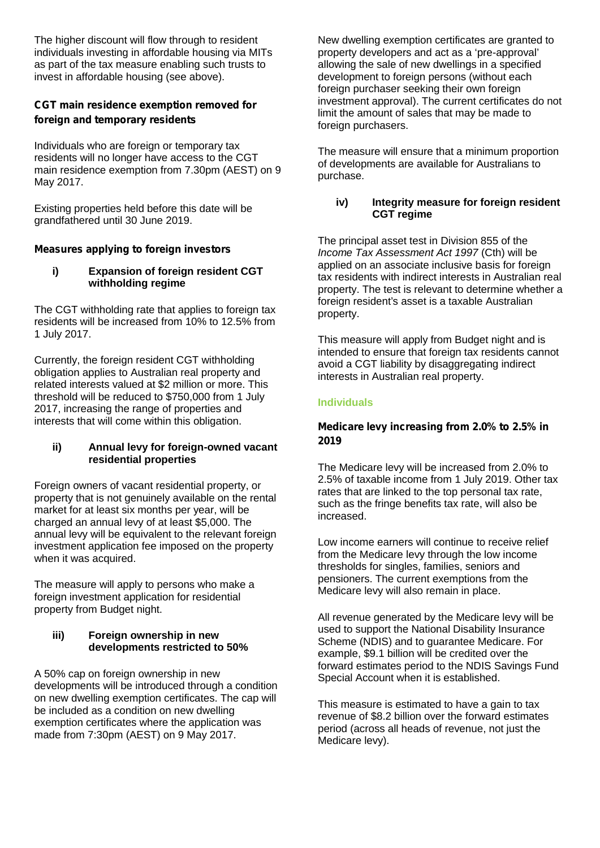The higher discount will flow through to resident individuals investing in affordable housing via MITs as part of the tax measure enabling such trusts to invest in affordable housing (see above).

#### *CGT main residence exemption removed for foreign and temporary residents*

Individuals who are foreign or temporary tax residents will no longer have access to the CGT main residence exemption from 7.30pm (AEST) on 9 May 2017.

Existing properties held before this date will be grandfathered until 30 June 2019.

#### *Measures applying to foreign investors*

#### **i) Expansion of foreign resident CGT withholding regime**

The CGT withholding rate that applies to foreign tax residents will be increased from 10% to 12.5% from 1 July 2017.

Currently, the foreign resident CGT withholding obligation applies to Australian real property and related interests valued at \$2 million or more. This threshold will be reduced to \$750,000 from 1 July 2017, increasing the range of properties and interests that will come within this obligation.

#### **ii) Annual levy for foreign-owned vacant residential properties**

Foreign owners of vacant residential property, or property that is not genuinely available on the rental market for at least six months per year, will be charged an annual levy of at least \$5,000. The annual levy will be equivalent to the relevant foreign investment application fee imposed on the property when it was acquired.

The measure will apply to persons who make a foreign investment application for residential property from Budget night.

#### **iii) Foreign ownership in new developments restricted to 50%**

A 50% cap on foreign ownership in new developments will be introduced through a condition on new dwelling exemption certificates. The cap will be included as a condition on new dwelling exemption certificates where the application was made from 7:30pm (AEST) on 9 May 2017.

New dwelling exemption certificates are granted to property developers and act as a 'pre-approval' allowing the sale of new dwellings in a specified development to foreign persons (without each foreign purchaser seeking their own foreign investment approval). The current certificates do not limit the amount of sales that may be made to foreign purchasers.

The measure will ensure that a minimum proportion of developments are available for Australians to purchase.

#### **iv) Integrity measure for foreign resident CGT regime**

The principal asset test in Division 855 of the *Income Tax Assessment Act 1997* (Cth) will be applied on an associate inclusive basis for foreign tax residents with indirect interests in Australian real property. The test is relevant to determine whether a foreign resident's asset is a taxable Australian property.

This measure will apply from Budget night and is intended to ensure that foreign tax residents cannot avoid a CGT liability by disaggregating indirect interests in Australian real property.

#### **Individuals**

#### *Medicare levy increasing from 2.0% to 2.5% in 2019*

The Medicare levy will be increased from 2.0% to 2.5% of taxable income from 1 July 2019. Other tax rates that are linked to the top personal tax rate, such as the fringe benefits tax rate, will also be increased.

Low income earners will continue to receive relief from the Medicare levy through the low income thresholds for singles, families, seniors and pensioners. The current exemptions from the Medicare levy will also remain in place.

All revenue generated by the Medicare levy will be used to support the National Disability Insurance Scheme (NDIS) and to guarantee Medicare. For example, \$9.1 billion will be credited over the forward estimates period to the NDIS Savings Fund Special Account when it is established.

This measure is estimated to have a gain to tax revenue of \$8.2 billion over the forward estimates period (across all heads of revenue, not just the Medicare levy).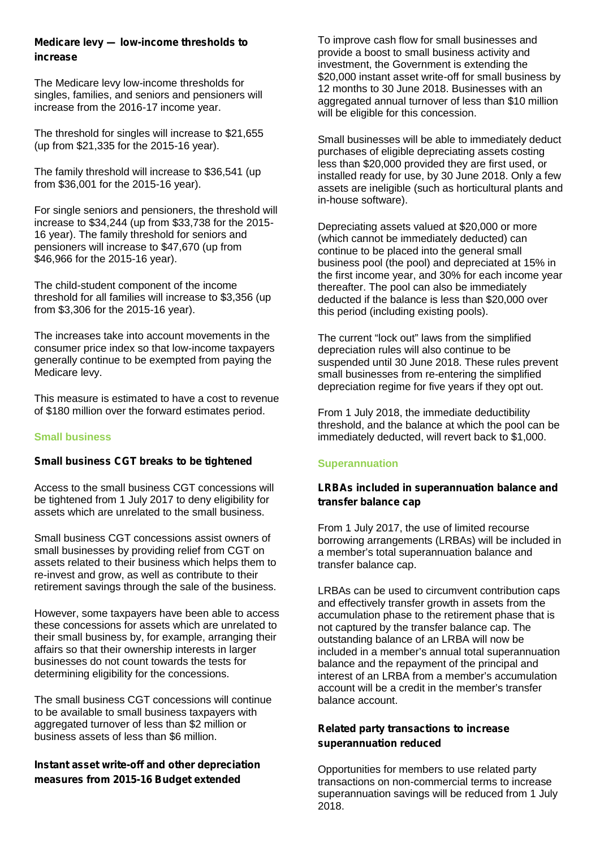#### *Medicare levy — low-income thresholds to increase*

The Medicare levy low-income thresholds for singles, families, and seniors and pensioners will increase from the 2016-17 income year.

The threshold for singles will increase to \$21,655 (up from \$21,335 for the 2015-16 year).

The family threshold will increase to \$36,541 (up from \$36,001 for the 2015-16 year).

For single seniors and pensioners, the threshold will increase to \$34,244 (up from \$33,738 for the 2015- 16 year). The family threshold for seniors and pensioners will increase to \$47,670 (up from \$46,966 for the 2015-16 year).

The child-student component of the income threshold for all families will increase to \$3,356 (up from \$3,306 for the 2015-16 year).

The increases take into account movements in the consumer price index so that low-income taxpayers generally continue to be exempted from paying the Medicare levy.

This measure is estimated to have a cost to revenue of \$180 million over the forward estimates period.

#### **Small business**

#### *Small business CGT breaks to be tightened*

Access to the small business CGT concessions will be tightened from 1 July 2017 to deny eligibility for assets which are unrelated to the small business.

Small business CGT concessions assist owners of small businesses by providing relief from CGT on assets related to their business which helps them to re-invest and grow, as well as contribute to their retirement savings through the sale of the business.

However, some taxpayers have been able to access these concessions for assets which are unrelated to their small business by, for example, arranging their affairs so that their ownership interests in larger businesses do not count towards the tests for determining eligibility for the concessions.

The small business CGT concessions will continue to be available to small business taxpayers with aggregated turnover of less than \$2 million or business assets of less than \$6 million.

#### *Instant asset write-off and other depreciation measures from 2015-16 Budget extended*

To improve cash flow for small businesses and provide a boost to small business activity and investment, the Government is extending the \$20,000 instant asset write-off for small business by 12 months to 30 June 2018. Businesses with an aggregated annual turnover of less than \$10 million will be eligible for this concession.

Small businesses will be able to immediately deduct purchases of eligible depreciating assets costing less than \$20,000 provided they are first used, or installed ready for use, by 30 June 2018. Only a few assets are ineligible (such as horticultural plants and in-house software).

Depreciating assets valued at \$20,000 or more (which cannot be immediately deducted) can continue to be placed into the general small business pool (the pool) and depreciated at 15% in the first income year, and 30% for each income year thereafter. The pool can also be immediately deducted if the balance is less than \$20,000 over this period (including existing pools).

The current "lock out" laws from the simplified depreciation rules will also continue to be suspended until 30 June 2018. These rules prevent small businesses from re-entering the simplified depreciation regime for five years if they opt out.

From 1 July 2018, the immediate deductibility threshold, and the balance at which the pool can be immediately deducted, will revert back to \$1,000.

#### **Superannuation**

#### *LRBAs included in superannuation balance and transfer balance cap*

From 1 July 2017, the use of limited recourse borrowing arrangements (LRBAs) will be included in a member's total superannuation balance and transfer balance cap.

LRBAs can be used to circumvent contribution caps and effectively transfer growth in assets from the accumulation phase to the retirement phase that is not captured by the transfer balance cap. The outstanding balance of an LRBA will now be included in a member's annual total superannuation balance and the repayment of the principal and interest of an LRBA from a member's accumulation account will be a credit in the member's transfer balance account.

#### *Related party transactions to increase superannuation reduced*

Opportunities for members to use related party transactions on non-commercial terms to increase superannuation savings will be reduced from 1 July 2018.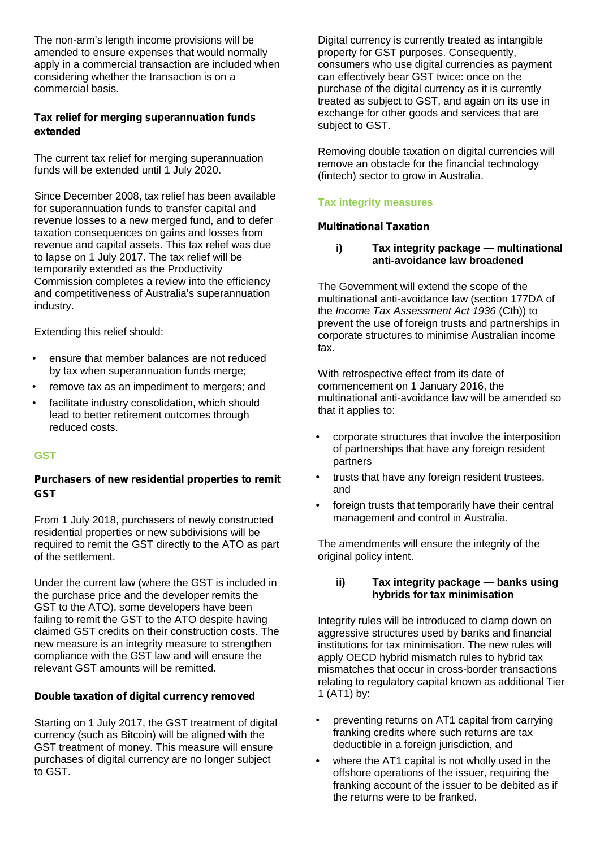The non-arm's length income provisions will be amended to ensure expenses that would normally apply in a commercial transaction are included when considering whether the transaction is on a commercial basis.

#### *Tax relief for merging superannuation funds extended*

The current tax relief for merging superannuation funds will be extended until 1 July 2020.

Since December 2008, tax relief has been available for superannuation funds to transfer capital and revenue losses to a new merged fund, and to defer taxation consequences on gains and losses from revenue and capital assets. This tax relief was due to lapse on 1 July 2017. The tax relief will be temporarily extended as the Productivity Commission completes a review into the efficiency and competitiveness of Australia's superannuation industry.

Extending this relief should:

- ensure that member balances are not reduced by tax when superannuation funds merge;
- remove tax as an impediment to mergers; and
- facilitate industry consolidation, which should lead to better retirement outcomes through reduced costs.

#### **GST**

#### *Purchasers of new residential properties to remit GST*

From 1 July 2018, purchasers of newly constructed residential properties or new subdivisions will be required to remit the GST directly to the ATO as part of the settlement.

Under the current law (where the GST is included in the purchase price and the developer remits the GST to the ATO), some developers have been failing to remit the GST to the ATO despite having claimed GST credits on their construction costs. The new measure is an integrity measure to strengthen compliance with the GST law and will ensure the relevant GST amounts will be remitted.

#### *Double taxation of digital currency removed*

Starting on 1 July 2017, the GST treatment of digital currency (such as Bitcoin) will be aligned with the GST treatment of money. This measure will ensure purchases of digital currency are no longer subject to GST.

Digital currency is currently treated as intangible property for GST purposes. Consequently, consumers who use digital currencies as payment can effectively bear GST twice: once on the purchase of the digital currency as it is currently treated as subject to GST, and again on its use in exchange for other goods and services that are subject to GST.

Removing double taxation on digital currencies will remove an obstacle for the financial technology (fintech) sector to grow in Australia.

#### **Tax integrity measures**

#### *Multinational Taxation*

#### **i) Tax integrity package — multinational anti-avoidance law broadened**

The Government will extend the scope of the multinational anti-avoidance law (section 177DA of the *Income Tax Assessment Act 1936* (Cth)) to prevent the use of foreign trusts and partnerships in corporate structures to minimise Australian income tax.

With retrospective effect from its date of commencement on 1 January 2016, the multinational anti-avoidance law will be amended so that it applies to:

- corporate structures that involve the interposition of partnerships that have any foreign resident partners
- trusts that have any foreign resident trustees, and
- foreign trusts that temporarily have their central management and control in Australia.

The amendments will ensure the integrity of the original policy intent.

#### **ii) Tax integrity package — banks using hybrids for tax minimisation**

Integrity rules will be introduced to clamp down on aggressive structures used by banks and financial institutions for tax minimisation. The new rules will apply OECD hybrid mismatch rules to hybrid tax mismatches that occur in cross-border transactions relating to regulatory capital known as additional Tier 1 (AT1) by:

- preventing returns on AT1 capital from carrying franking credits where such returns are tax deductible in a foreign jurisdiction, and
- where the AT1 capital is not wholly used in the offshore operations of the issuer, requiring the franking account of the issuer to be debited as if the returns were to be franked.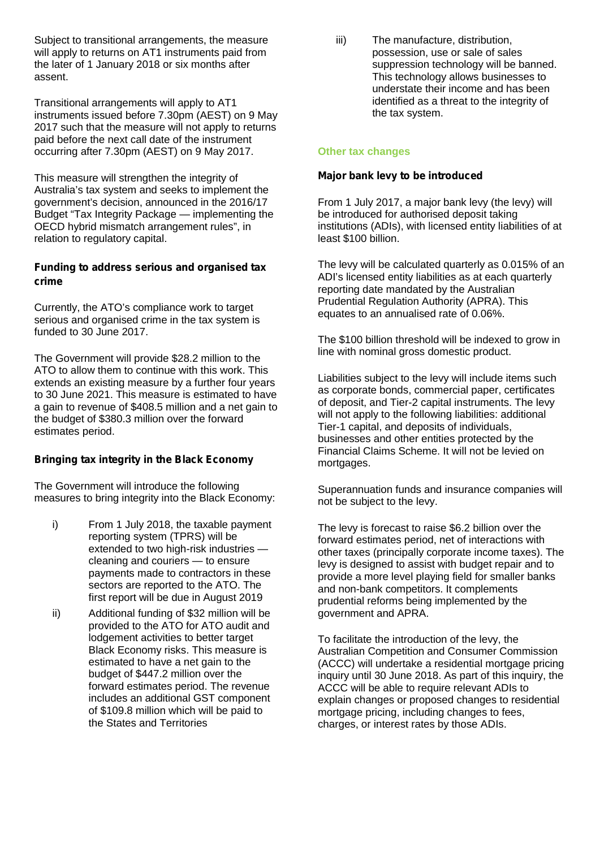Subject to transitional arrangements, the measure will apply to returns on AT1 instruments paid from the later of 1 January 2018 or six months after assent.

Transitional arrangements will apply to AT1 instruments issued before 7.30pm (AEST) on 9 May 2017 such that the measure will not apply to returns paid before the next call date of the instrument occurring after 7.30pm (AEST) on 9 May 2017.

This measure will strengthen the integrity of Australia's tax system and seeks to implement the government's decision, announced in the 2016/17 Budget "Tax Integrity Package — implementing the OECD hybrid mismatch arrangement rules", in relation to regulatory capital.

#### *Funding to address serious and organised tax crime*

Currently, the ATO's compliance work to target serious and organised crime in the tax system is funded to 30 June 2017.

The Government will provide \$28.2 million to the ATO to allow them to continue with this work. This extends an existing measure by a further four years to 30 June 2021. This measure is estimated to have a gain to revenue of \$408.5 million and a net gain to the budget of \$380.3 million over the forward estimates period.

#### *Bringing tax integrity in the Black Economy*

The Government will introduce the following measures to bring integrity into the Black Economy:

- i) From 1 July 2018, the taxable payment reporting system (TPRS) will be extended to two high-risk industries cleaning and couriers — to ensure payments made to contractors in these sectors are reported to the ATO. The first report will be due in August 2019
- ii) Additional funding of \$32 million will be provided to the ATO for ATO audit and lodgement activities to better target Black Economy risks. This measure is estimated to have a net gain to the budget of \$447.2 million over the forward estimates period. The revenue includes an additional GST component of \$109.8 million which will be paid to the States and Territories

iii) The manufacture, distribution, possession, use or sale of sales suppression technology will be banned. This technology allows businesses to understate their income and has been identified as a threat to the integrity of the tax system.

#### **Other tax changes**

#### *Major bank levy to be introduced*

From 1 July 2017, a major bank levy (the levy) will be introduced for authorised deposit taking institutions (ADIs), with licensed entity liabilities of at least \$100 billion.

The levy will be calculated quarterly as 0.015% of an ADI's licensed entity liabilities as at each quarterly reporting date mandated by the Australian Prudential Regulation Authority (APRA). This equates to an annualised rate of 0.06%.

The \$100 billion threshold will be indexed to grow in line with nominal gross domestic product.

Liabilities subject to the levy will include items such as corporate bonds, commercial paper, certificates of deposit, and Tier-2 capital instruments. The levy will not apply to the following liabilities: additional Tier-1 capital, and deposits of individuals, businesses and other entities protected by the Financial Claims Scheme. It will not be levied on mortgages.

Superannuation funds and insurance companies will not be subject to the levy.

The levy is forecast to raise \$6.2 billion over the forward estimates period, net of interactions with other taxes (principally corporate income taxes). The levy is designed to assist with budget repair and to provide a more level playing field for smaller banks and non-bank competitors. It complements prudential reforms being implemented by the government and APRA.

To facilitate the introduction of the levy, the Australian Competition and Consumer Commission (ACCC) will undertake a residential mortgage pricing inquiry until 30 June 2018. As part of this inquiry, the ACCC will be able to require relevant ADIs to explain changes or proposed changes to residential mortgage pricing, including changes to fees, charges, or interest rates by those ADIs.